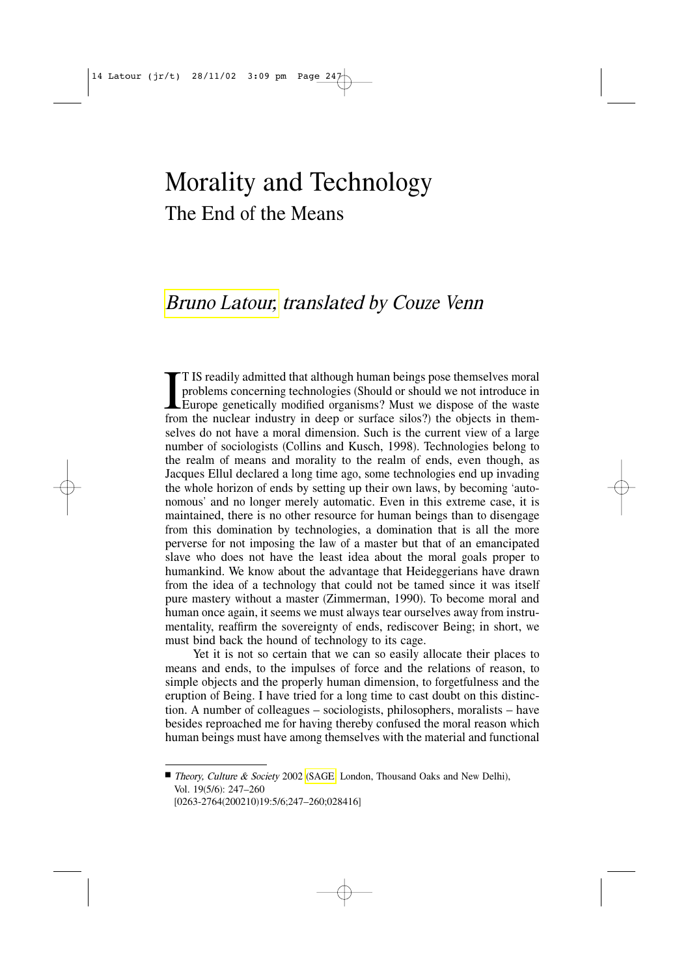## Morality and Technology The End of the Means

## B[run](#page-13-0)<sup>o</sup> Latour, translated by Couz<sup>e</sup> Venn

T IS readily admitted that although human beings pose themselves moral<br>problems concerning technologies (Should or should we not introduce in<br>Europe genetically modified organisms? Must we dispose of the waste<br>from the nuc T IS readily admitted that although human beings pose themselves moral problems concerning technologies (Should or should we not introduce in from the nuclear industry in deep or surface silos?) the objects in themselves do not have a moral dimension. Such is the current view of a large number of sociologists (Collins and Kusch, 1998). Technologies belong to the realm of means and morality to the realm of ends, even though, as Jacques Ellul declared a long time ago, some technologies end up invading the whole horizon of ends by setting up their own laws, by becoming 'autonomous' and no longer merely automatic. Even in this extreme case, it is maintained, there is no other resource for human beings than to disengage from this domination by technologies, a domination that is all the more perverse for not imposing the law of a master but that of an emancipated slave who does not have the least idea about the moral goals proper to humankind. We know about the advantage that Heideggerians have drawn from the idea of a technology that could not be tamed since it was itself pure mastery without a master (Zimmerman, 1990). To become moral and human once again, it seems we must always tear ourselves away from instrumentality, reaffirm the sovereignty of ends, rediscover Being; in short, we must bind back the hound of technology to its cage.

Yet it is not so certain that we can so easily allocate their places to means and ends, to the impulses of force and the relations of reason, to simple objects and the properly human dimension, to forgetfulness and the eruption of Being. I have tried for a long time to cast doubt on this distinction. A number of colleagues – sociologists, philosophers, moralists – have besides reproached me for having thereby confused the moral reason which human beings must have among themselves with the material and functional

<sup>■</sup> *Theory, Culture & Society* 2002 [\(SAGE,](http://file://localhost/Users/brunolatour/Downloads/www.sagepublications.com) London, Thousand Oaks and New Delhi), Vol. 19(5/6): 247–260 [0263-2764(200210)19:5/6;247–260;028416]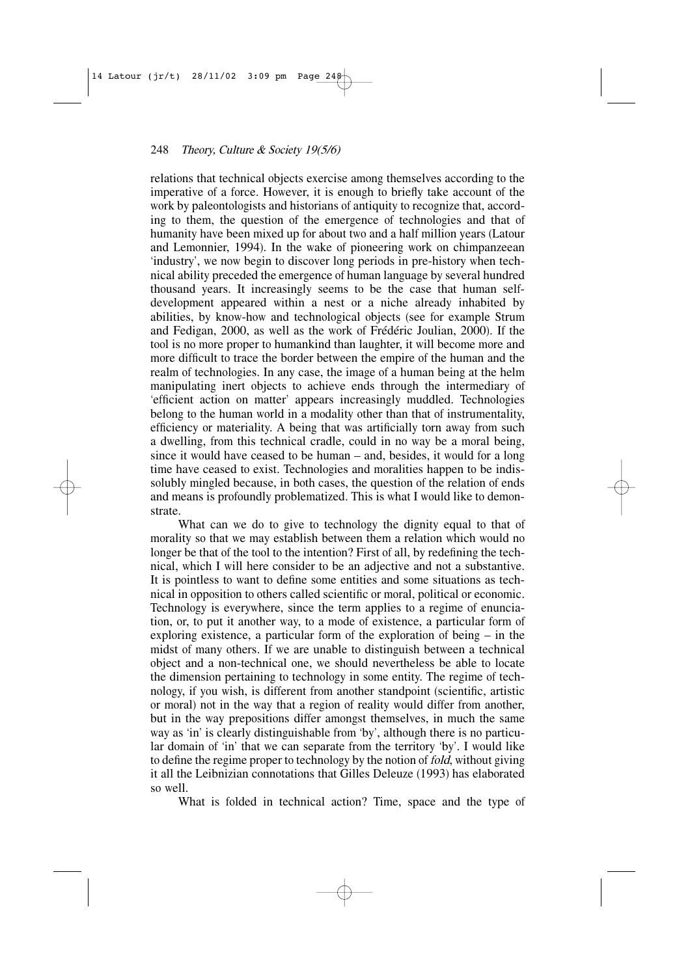relations that technical objects exercise among themselves according to the imperative of a force. However, it is enough to briefly take account of the work by paleontologists and historians of antiquity to recognize that, according to them, the question of the emergence of technologies and that of humanity have been mixed up for about two and a half million years (Latour and Lemonnier, 1994). In the wake of pioneering work on chimpanzeean 'industry', we now begin to discover long periods in pre-history when technical ability preceded the emergence of human language by several hundred thousand years. It increasingly seems to be the case that human selfdevelopment appeared within a nest or a niche already inhabited by abilities, by know-how and technological objects (see for example Strum and Fedigan, 2000, as well as the work of Frédéric Joulian, 2000). If the tool is no more proper to humankind than laughter, it will become more and more difficult to trace the border between the empire of the human and the realm of technologies. In any case, the image of a human being at the helm manipulating inert objects to achieve ends through the intermediary of 'efficient action on matter' appears increasingly muddled. Technologies belong to the human world in a modality other than that of instrumentality, efficiency or materiality. A being that was artificially torn away from such a dwelling, from this technical cradle, could in no way be a moral being, since it would have ceased to be human – and, besides, it would for a long time have ceased to exist. Technologies and moralities happen to be indissolubly mingled because, in both cases, the question of the relation of ends and means is profoundly problematized. This is what I would like to demonstrate.

What can we do to give to technology the dignity equal to that of morality so that we may establish between them a relation which would no longer be that of the tool to the intention? First of all, by redefining the technical, which I will here consider to be an adjective and not a substantive. It is pointless to want to define some entities and some situations as technical in opposition to others called scientific or moral, political or economic. Technology is everywhere, since the term applies to a regime of enunciation, or, to put it another way, to a mode of existence, a particular form of exploring existence, a particular form of the exploration of being – in the midst of many others. If we are unable to distinguish between a technical object and a non-technical one, we should nevertheless be able to locate the dimension pertaining to technology in some entity. The regime of technology, if you wish, is different from another standpoint (scientific, artistic or moral) not in the way that a region of reality would differ from another, but in the way prepositions differ amongst themselves, in much the same way as 'in' is clearly distinguishable from 'by', although there is no particular domain of 'in' that we can separate from the territory 'by'. I would like to define the regime proper to technology by the notion of <sup>f</sup>old, without giving it all the Leibnizian connotations that Gilles Deleuze (1993) has elaborated so well.

What is folded in technical action? Time, space and the type of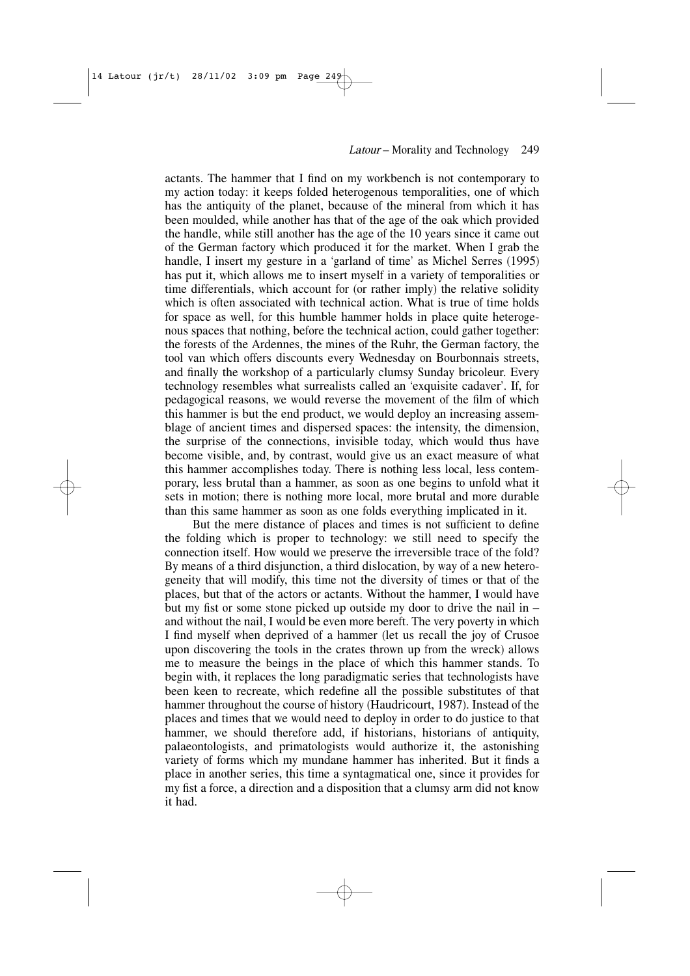actants. The hammer that I find on my workbench is not contemporary to my action today: it keeps folded heterogenous temporalities, one of which has the antiquity of the planet, because of the mineral from which it has been moulded, while another has that of the age of the oak which provided the handle, while still another has the age of the 10 years since it came out of the German factory which produced it for the market. When I grab the handle, I insert my gesture in a 'garland of time' as Michel Serres (1995) has put it, which allows me to insert myself in a variety of temporalities or time differentials, which account for (or rather imply) the relative solidity which is often associated with technical action. What is true of time holds for space as well, for this humble hammer holds in place quite heterogenous spaces that nothing, before the technical action, could gather together: the forests of the Ardennes, the mines of the Ruhr, the German factory, the tool van which offers discounts every Wednesday on Bourbonnais streets, and finally the workshop of a particularly clumsy Sunday bricoleur. Every technology resembles what surrealists called an 'exquisite cadaver'. If, for pedagogical reasons, we would reverse the movement of the film of which this hammer is but the end product, we would deploy an increasing assemblage of ancient times and dispersed spaces: the intensity, the dimension, the surprise of the connections, invisible today, which would thus have become visible, and, by contrast, would give us an exact measure of what this hammer accomplishes today. There is nothing less local, less contemporary, less brutal than a hammer, as soon as one begins to unfold what it sets in motion; there is nothing more local, more brutal and more durable than this same hammer as soon as one folds everything implicated in it.

But the mere distance of places and times is not sufficient to define the folding which is proper to technology: we still need to specify the connection itself. How would we preserve the irreversible trace of the fold? By means of a third disjunction, a third dislocation, by way of a new heterogeneity that will modify, this time not the diversity of times or that of the places, but that of the actors or actants. Without the hammer, I would have but my fist or some stone picked up outside my door to drive the nail in – and without the nail, I would be even more bereft. The very poverty in which I find myself when deprived of a hammer (let us recall the joy of Crusoe upon discovering the tools in the crates thrown up from the wreck) allows me to measure the beings in the place of which this hammer stands. To begin with, it replaces the long paradigmatic series that technologists have been keen to recreate, which redefine all the possible substitutes of that hammer throughout the course of history (Haudricourt, 1987). Instead of the places and times that we would need to deploy in order to do justice to that hammer, we should therefore add, if historians, historians of antiquity, palaeontologists, and primatologists would authorize it, the astonishing variety of forms which my mundane hammer has inherited. But it finds a place in another series, this time a syntagmatical one, since it provides for my fist a force, a direction and a disposition that a clumsy arm did not know it had.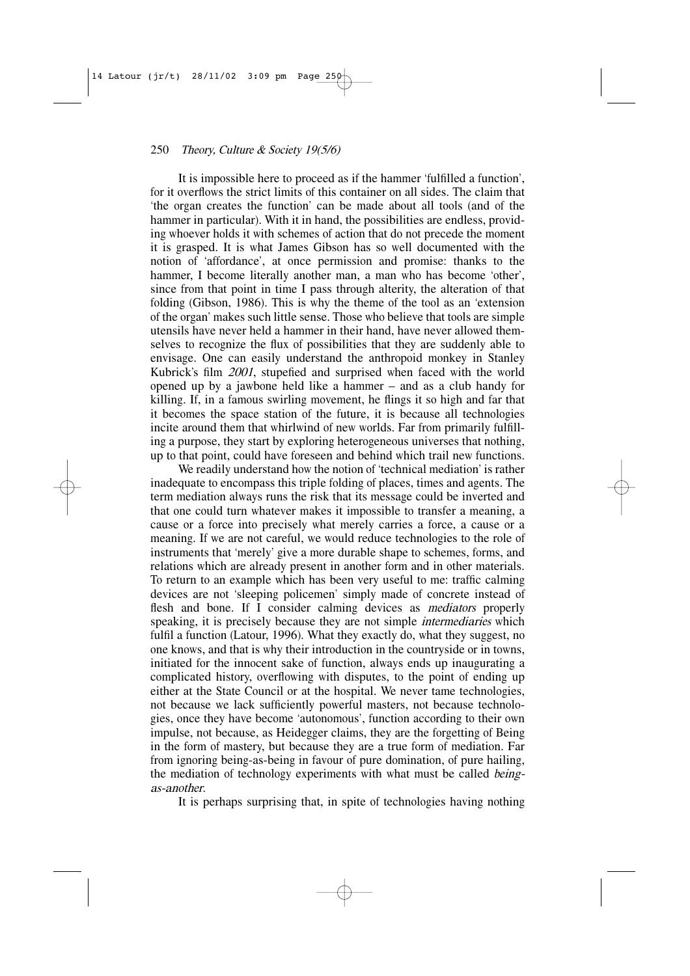It is impossible here to proceed as if the hammer 'fulfilled a function', for it overflows the strict limits of this container on all sides. The claim that 'the organ creates the function' can be made about all tools (and of the hammer in particular). With it in hand, the possibilities are endless, providing whoever holds it with schemes of action that do not precede the moment it is grasped. It is what James Gibson has so well documented with the notion of 'affordance', at once permission and promise: thanks to the hammer. I become literally another man, a man who has become 'other'. since from that point in time I pass through alterity, the alteration of that folding (Gibson, 1986). This is why the theme of the tool as an 'extension of the organ' makes such little sense. Those who believe that tools are simple utensils have never held a hammer in their hand, have never allowed themselves to recognize the flux of possibilities that they are suddenly able to envisage. One can easily understand the anthropoid monkey in Stanley Kubrick's film <sup>2001</sup>, stupefied and surprised when faced with the world opened up by a jawbone held like a hammer – and as a club handy for killing. If, in a famous swirling movement, he flings it so high and far that it becomes the space station of the future, it is because all technologies incite around them that whirlwind of new worlds. Far from primarily fulfilling a purpose, they start by exploring heterogeneous universes that nothing, up to that point, could have foreseen and behind which trail new functions.

We readily understand how the notion of 'technical mediation' is rather inadequate to encompass this triple folding of places, times and agents. The term mediation always runs the risk that its message could be inverted and that one could turn whatever makes it impossible to transfer a meaning, a cause or a force into precisely what merely carries a force, a cause or a meaning. If we are not careful, we would reduce technologies to the role of instruments that 'merely' give a more durable shape to schemes, forms, and relations which are already present in another form and in other materials. To return to an example which has been very useful to me: traffic calming devices are not 'sleeping policemen' simply made of concrete instead of flesh and bone. If I consider calming devices as <sup>m</sup>ediator<sup>s</sup> properly speaking, it is precisely because they are not simple intermediaries which fulfil a function (Latour, 1996). What they exactly do, what they suggest, no one knows, and that is why their introduction in the countryside or in towns, initiated for the innocent sake of function, always ends up inaugurating a complicated history, overflowing with disputes, to the point of ending up either at the State Council or at the hospital. We never tame technologies, not because we lack sufficiently powerful masters, not because technologies, once they have become 'autonomous', function according to their own impulse, not because, as Heidegger claims, they are the forgetting of Being in the form of mastery, but because they are a true form of mediation. Far from ignoring being-as-being in favour of pure domination, of pure hailing, the mediation of technology experiments with what must be called being<sup>a</sup>s-another.

It is perhaps surprising that, in spite of technologies having nothing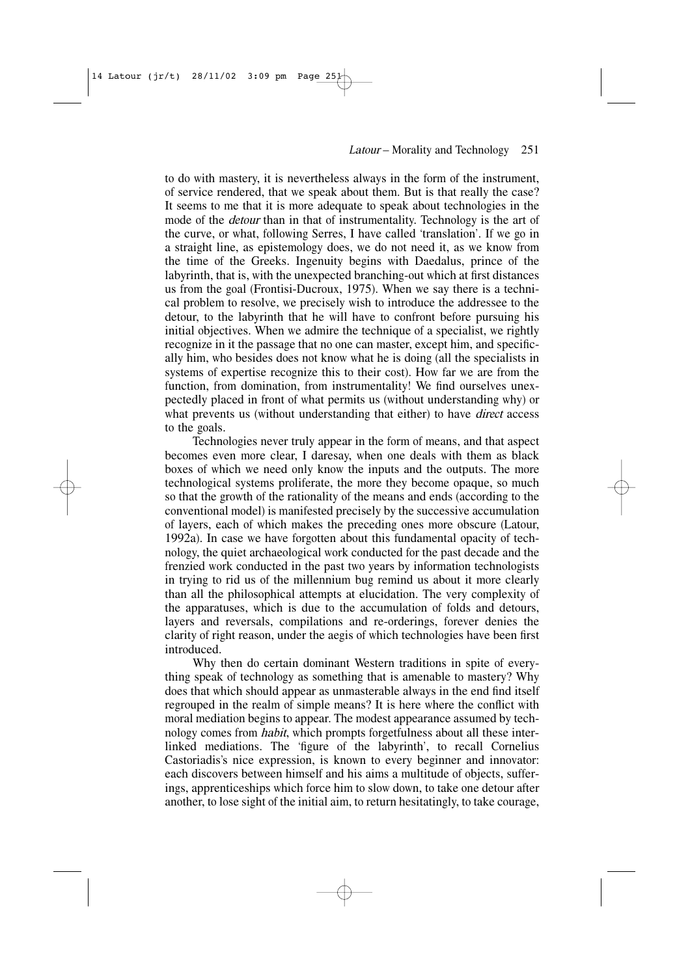to do with mastery, it is nevertheless always in the form of the instrument, of service rendered, that we speak about them. But is that really the case? It seems to me that it is more adequate to speak about technologies in the mode of the *detour* than in that of instrumentality. Technology is the art of the curve, or what, following Serres, I have called 'translation'. If we go in a straight line, as epistemology does, we do not need it, as we know from the time of the Greeks. Ingenuity begins with Daedalus, prince of the labyrinth, that is, with the unexpected branching-out which at first distances us from the goal (Frontisi-Ducroux, 1975). When we say there is a technical problem to resolve, we precisely wish to introduce the addressee to the detour, to the labyrinth that he will have to confront before pursuing his initial objectives. When we admire the technique of a specialist, we rightly recognize in it the passage that no one can master, except him, and specifically him, who besides does not know what he is doing (all the specialists in systems of expertise recognize this to their cost). How far we are from the function, from domination, from instrumentality! We find ourselves unexpectedly placed in front of what permits us (without understanding why) or what prevents us (without understanding that either) to have *direct* access to the goals.

Technologies never truly appear in the form of means, and that aspect becomes even more clear, I daresay, when one deals with them as black boxes of which we need only know the inputs and the outputs. The more technological systems proliferate, the more they become opaque, so much so that the growth of the rationality of the means and ends (according to the conventional model) is manifested precisely by the successive accumulation of layers, each of which makes the preceding ones more obscure (Latour, 1992a). In case we have forgotten about this fundamental opacity of technology, the quiet archaeological work conducted for the past decade and the frenzied work conducted in the past two years by information technologists in trying to rid us of the millennium bug remind us about it more clearly than all the philosophical attempts at elucidation. The very complexity of the apparatuses, which is due to the accumulation of folds and detours, layers and reversals, compilations and re-orderings, forever denies the clarity of right reason, under the aegis of which technologies have been first introduced.

Why then do certain dominant Western traditions in spite of everything speak of technology as something that is amenable to mastery? Why does that which should appear as unmasterable always in the end find itself regrouped in the realm of simple means? It is here where the conflict with moral mediation begins to appear. The modest appearance assumed by technology comes from *habit*, which prompts forgetfulness about all these interlinked mediations. The 'figure of the labyrinth', to recall Cornelius Castoriadis's nice expression, is known to every beginner and innovator: each discovers between himself and his aims a multitude of objects, sufferings, apprenticeships which force him to slow down, to take one detour after another, to lose sight of the initial aim, to return hesitatingly, to take courage,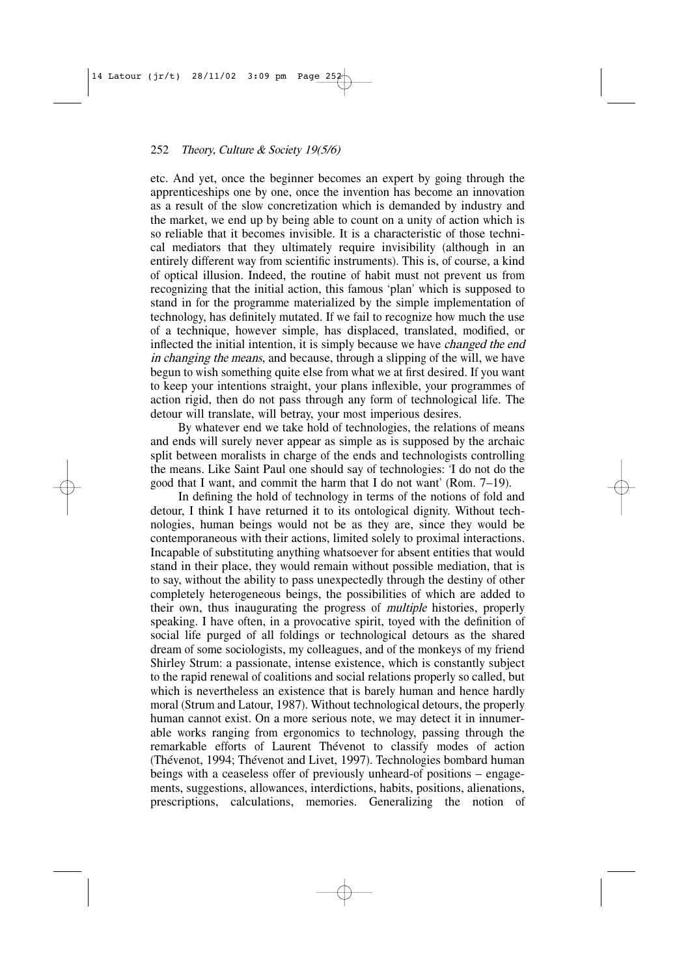etc. And yet, once the beginner becomes an expert by going through the apprenticeships one by one, once the invention has become an innovation as a result of the slow concretization which is demanded by industry and the market, we end up by being able to count on a unity of action which is so reliable that it becomes invisible. It is a characteristic of those technical mediators that they ultimately require invisibility (although in an entirely different way from scientific instruments). This is, of course, a kind of optical illusion. Indeed, the routine of habit must not prevent us from recognizing that the initial action, this famous 'plan' which is supposed to stand in for the programme materialized by the simple implementation of technology, has definitely mutated. If we fail to recognize how much the use of a technique, however simple, has displaced, translated, modified, or inflected the initial intention, it is simply because we have <sup>c</sup>hange<sup>d</sup> th<sup>e</sup> <sup>e</sup>nd in <sup>c</sup>hanging th<sup>e</sup> <sup>m</sup>eans, and because, through a slipping of the will, we have begun to wish something quite else from what we at first desired. If you want to keep your intentions straight, your plans inflexible, your programmes of action rigid, then do not pass through any form of technological life. The detour will translate, will betray, your most imperious desires.

By whatever end we take hold of technologies, the relations of means and ends will surely never appear as simple as is supposed by the archaic split between moralists in charge of the ends and technologists controlling the means. Like Saint Paul one should say of technologies: 'I do not do the good that I want, and commit the harm that I do not want' (Rom. 7–19).

In defining the hold of technology in terms of the notions of fold and detour, I think I have returned it to its ontological dignity. Without technologies, human beings would not be as they are, since they would be contemporaneous with their actions, limited solely to proximal interactions. Incapable of substituting anything whatsoever for absent entities that would stand in their place, they would remain without possible mediation, that is to say, without the ability to pass unexpectedly through the destiny of other completely heterogeneous beings, the possibilities of which are added to their own, thus inaugurating the progress of <sup>m</sup>ultipl<sup>e</sup> histories, properly speaking. I have often, in a provocative spirit, toyed with the definition of social life purged of all foldings or technological detours as the shared dream of some sociologists, my colleagues, and of the monkeys of my friend Shirley Strum: a passionate, intense existence, which is constantly subject to the rapid renewal of coalitions and social relations properly so called, but which is nevertheless an existence that is barely human and hence hardly moral (Strum and Latour, 1987). Without technological detours, the properly human cannot exist. On a more serious note, we may detect it in innumerable works ranging from ergonomics to technology, passing through the remarkable efforts of Laurent Thévenot to classify modes of action (Thévenot, 1994; Thévenot and Livet, 1997). Technologies bombard human beings with a ceaseless offer of previously unheard-of positions – engagements, suggestions, allowances, interdictions, habits, positions, alienations, prescriptions, calculations, memories. Generalizing the notion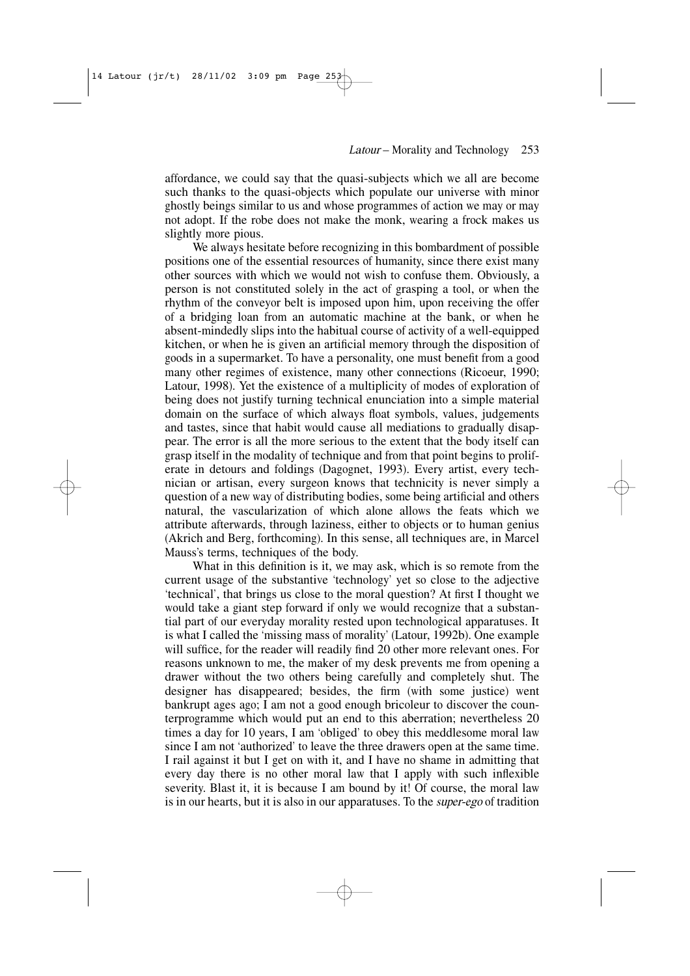affordance, we could say that the quasi-subjects which we all are become such thanks to the quasi-objects which populate our universe with minor ghostly beings similar to us and whose programmes of action we may or may not adopt. If the robe does not make the monk, wearing a frock makes us slightly more pious.

We always hesitate before recognizing in this bombardment of possible positions one of the essential resources of humanity, since there exist many other sources with which we would not wish to confuse them. Obviously, a person is not constituted solely in the act of grasping a tool, or when the rhythm of the conveyor belt is imposed upon him, upon receiving the offer of a bridging loan from an automatic machine at the bank, or when he absent-mindedly slips into the habitual course of activity of a well-equipped kitchen, or when he is given an artificial memory through the disposition of goods in a supermarket. To have a personality, one must benefit from a good many other regimes of existence, many other connections (Ricoeur, 1990; Latour, 1998). Yet the existence of a multiplicity of modes of exploration of being does not justify turning technical enunciation into a simple material domain on the surface of which always float symbols, values, judgements and tastes, since that habit would cause all mediations to gradually disappear. The error is all the more serious to the extent that the body itself can grasp itself in the modality of technique and from that point begins to proliferate in detours and foldings (Dagognet, 1993). Every artist, every technician or artisan, every surgeon knows that technicity is never simply a question of a new way of distributing bodies, some being artificial and others natural, the vascularization of which alone allows the feats which we attribute afterwards, through laziness, either to objects or to human genius (Akrich and Berg, forthcoming). In this sense, all techniques are, in Marcel Mauss's terms, techniques of the body.

What in this definition is it, we may ask, which is so remote from the current usage of the substantive 'technology' yet so close to the adjective 'technical', that brings us close to the moral question? At first I thought we would take a giant step forward if only we would recognize that a substantial part of our everyday morality rested upon technological apparatuses. It is what I called the 'missing mass of morality' (Latour, 1992b). One example will suffice, for the reader will readily find 20 other more relevant ones. For reasons unknown to me, the maker of my desk prevents me from opening a drawer without the two others being carefully and completely shut. The designer has disappeared; besides, the firm (with some justice) went bankrupt ages ago; I am not a good enough bricoleur to discover the counterprogramme which would put an end to this aberration; nevertheless 20 times a day for 10 years, I am 'obliged' to obey this meddlesome moral law since I am not 'authorized' to leave the three drawers open at the same time. I rail against it but I get on with it, and I have no shame in admitting that every day there is no other moral law that I apply with such inflexible severity. Blast it, it is because I am bound by it! Of course, the moral law is in our hearts, but it is also in our apparatuses. To the <sup>s</sup>uper-eg<sup>o</sup> of tradition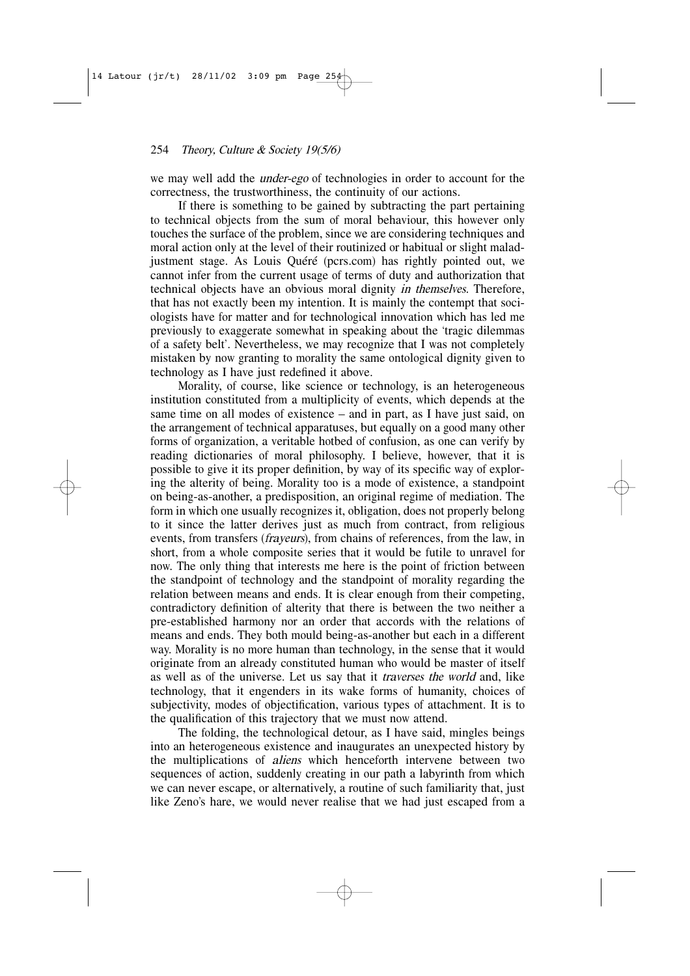we may well add the under-eg<sup>o</sup> of technologies in order to account for the correctness, the trustworthiness, the continuity of our actions.

If there is something to be gained by subtracting the part pertaining to technical objects from the sum of moral behaviour, this however only touches the surface of the problem, since we are considering techniques and moral action only at the level of their routinized or habitual or slight maladjustment stage. As Louis Quéré (pcrs.com) has rightly pointed out, we cannot infer from the current usage of terms of duty and authorization that technical objects have an obvious moral dignity in themselves. Therefore, that has not exactly been my intention. It is mainly the contempt that sociologists have for matter and for technological innovation which has led me previously to exaggerate somewhat in speaking about the 'tragic dilemmas of a safety belt'. Nevertheless, we may recognize that I was not completely mistaken by now granting to morality the same ontological dignity given to technology as I have just redefined it above.

Morality, of course, like science or technology, is an heterogeneous institution constituted from a multiplicity of events, which depends at the same time on all modes of existence – and in part, as I have just said, on the arrangement of technical apparatuses, but equally on a good many other forms of organization, a veritable hotbed of confusion, as one can verify by reading dictionaries of moral philosophy. I believe, however, that it is possible to give it its proper definition, by way of its specific way of exploring the alterity of being. Morality too is a mode of existence, a standpoint on being-as-another, a predisposition, an original regime of mediation. The form in which one usually recognizes it, obligation, does not properly belong to it since the latter derives just as much from contract, from religious events, from transfers (frayeurs), from chains of references, from the law, in short, from a whole composite series that it would be futile to unravel for now. The only thing that interests me here is the point of friction between the standpoint of technology and the standpoint of morality regarding the relation between means and ends. It is clear enough from their competing, contradictory definition of alterity that there is between the two neither a pre-established harmony nor an order that accords with the relations of means and ends. They both mould being-as-another but each in a different way. Morality is no more human than technology, in the sense that it would originate from an already constituted human who would be master of itself as well as of the universe. Let us say that it traverses th<sup>e</sup> <sup>w</sup><sup>o</sup>rld and, like technology, that it engenders in its wake forms of humanity, choices of subjectivity, modes of objectification, various types of attachment. It is to the qualification of this trajectory that we must now attend.

The folding, the technological detour, as I have said, mingles beings into an heterogeneous existence and inaugurates an unexpected history by the multiplications of <sup>a</sup>lien<sup>s</sup> which henceforth intervene between two sequences of action, suddenly creating in our path a labyrinth from which we can never escape, or alternatively, a routine of such familiarity that, just like Zeno's hare, we would never realise that we had just escaped from a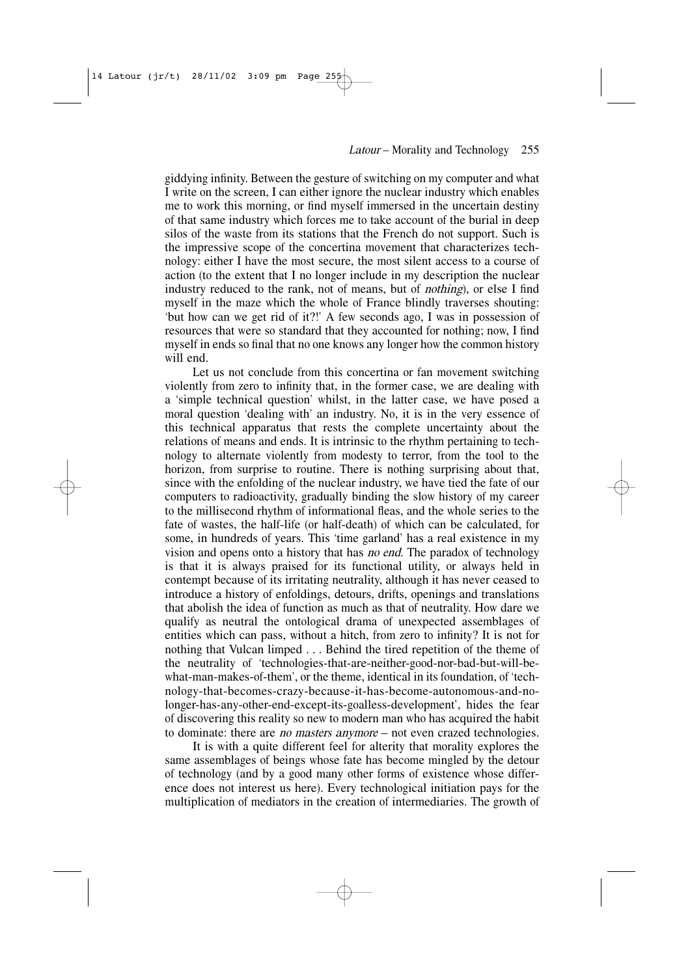giddying infinity. Between the gesture of switching on my computer and what I write on the screen, I can either ignore the nuclear industry which enables me to work this morning, or find myself immersed in the uncertain destiny of that same industry which forces me to take account of the burial in deep silos of the waste from its stations that the French do not support. Such is the impressive scope of the concertina movement that characterizes technology: either I have the most secure, the most silent access to a course of action (to the extent that I no longer include in my description the nuclear industry reduced to the rank, not of means, but of <sup>n</sup>othing), or else I find myself in the maze which the whole of France blindly traverses shouting: 'but how can we get rid of it?!' A few seconds ago, I was in possession of resources that were so standard that they accounted for nothing; now, I find myself in ends so final that no one knows any longer how the common history will end.

Let us not conclude from this concertina or fan movement switching violently from zero to infinity that, in the former case, we are dealing with a 'simple technical question' whilst, in the latter case, we have posed a moral question 'dealing with' an industry. No, it is in the very essence of this technical apparatus that rests the complete uncertainty about the relations of means and ends. It is intrinsic to the rhythm pertaining to technology to alternate violently from modesty to terror, from the tool to the horizon, from surprise to routine. There is nothing surprising about that, since with the enfolding of the nuclear industry, we have tied the fate of our computers to radioactivity, gradually binding the slow history of my career to the millisecond rhythm of informational fleas, and the whole series to the fate of wastes, the half-life (or half-death) of which can be calculated, for some, in hundreds of years. This 'time garland' has a real existence in my vision and opens onto a history that has <sup>n</sup><sup>o</sup> <sup>e</sup>nd. The paradox of technology is that it is always praised for its functional utility, or always held in contempt because of its irritating neutrality, although it has never ceased to introduce a history of enfoldings, detours, drifts, openings and translations that abolish the idea of function as much as that of neutrality. How dare we qualify as neutral the ontological drama of unexpected assemblages of entities which can pass, without a hitch, from zero to infinity? It is not for nothing that Vulcan limped . . . Behind the tired repetition of the theme of the neutrality of 'technologies-that-are-neither-good-nor-bad-but-will-bewhat-man-makes-of-them', or the theme, identical in its foundation, of 'technology-that-becomes-crazy-because-it-has-become-autonomous-and-nolonger-has-any-other-end-except-its-goalless-development', hides the fear of discovering this reality so new to modern man who has acquired the habit to dominate: there are <sup>n</sup><sup>o</sup> <sup>m</sup>aster<sup>s</sup> <sup>a</sup><sup>n</sup>y<sup>m</sup>or<sup>e</sup> – not even crazed technologies.

It is with a quite different feel for alterity that morality explores the same assemblages of beings whose fate has become mingled by the detour of technology (and by a good many other forms of existence whose difference does not interest us here). Every technological initiation pays for the multiplication of mediators in the creation of intermediaries. The growth of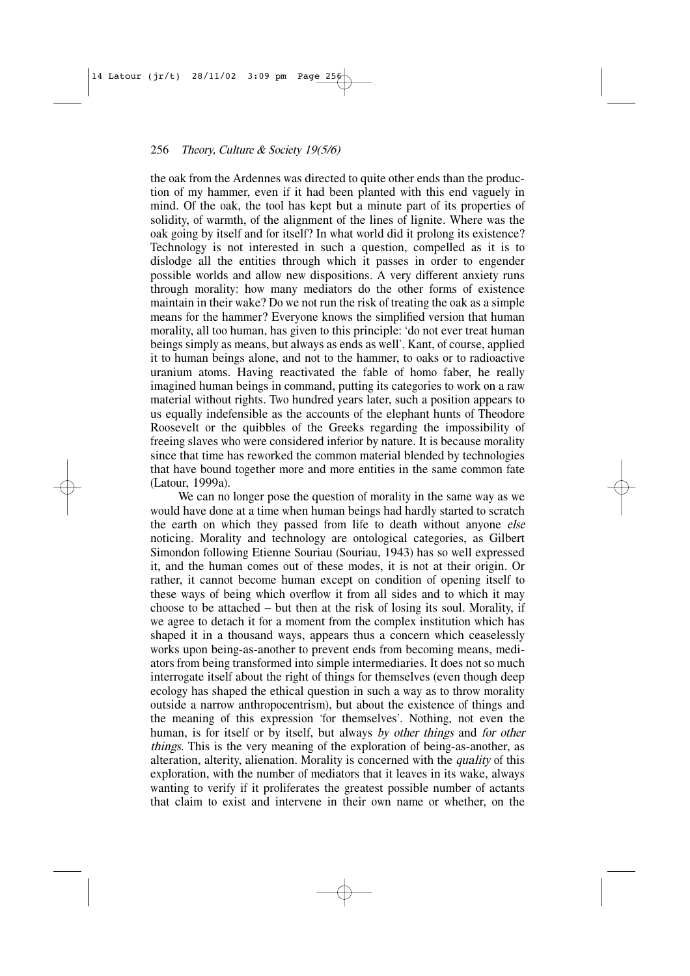the oak from the Ardennes was directed to quite other ends than the production of my hammer, even if it had been planted with this end vaguely in mind. Of the oak, the tool has kept but a minute part of its properties of solidity, of warmth, of the alignment of the lines of lignite. Where was the oak going by itself and for itself? In what world did it prolong its existence? Technology is not interested in such a question, compelled as it is to dislodge all the entities through which it passes in order to engender possible worlds and allow new dispositions. A very different anxiety runs through morality: how many mediators do the other forms of existence maintain in their wake? Do we not run the risk of treating the oak as a simple means for the hammer? Everyone knows the simplified version that human morality, all too human, has given to this principle: 'do not ever treat human beings simply as means, but always as ends as well'. Kant, of course, applied it to human beings alone, and not to the hammer, to oaks or to radioactive uranium atoms. Having reactivated the fable of homo faber, he really imagined human beings in command, putting its categories to work on a raw material without rights. Two hundred years later, such a position appears to us equally indefensible as the accounts of the elephant hunts of Theodore Roosevelt or the quibbles of the Greeks regarding the impossibility of freeing slaves who were considered inferior by nature. It is because morality since that time has reworked the common material blended by technologies that have bound together more and more entities in the same common fate (Latour, 1999a).

We can no longer pose the question of morality in the same way as we would have done at a time when human beings had hardly started to scratch the earth on which they passed from life to death without anyone <sup>e</sup>lse noticing. Morality and technology are ontological categories, as Gilbert Simondon following Etienne Souriau (Souriau, 1943) has so well expressed it, and the human comes out of these modes, it is not at their origin. Or rather, it cannot become human except on condition of opening itself to these ways of being which overflow it from all sides and to which it may choose to be attached – but then at the risk of losing its soul. Morality, if we agree to detach it for a moment from the complex institution which has shaped it in a thousand ways, appears thus a concern which ceaselessly works upon being-as-another to prevent ends from becoming means, mediators from being transformed into simple intermediaries. It does not so much interrogate itself about the right of things for themselves (even though deep ecology has shaped the ethical question in such a way as to throw morality outside a narrow anthropocentrism), but about the existence of things and the meaning of this expression 'for themselves'. Nothing, not even the human, is for itself or by itself, but always by other things and for other things. This is the very meaning of the exploration of being-as-another, as alteration, alterity, alienation. Morality is concerned with the <sup>q</sup>u<sup>a</sup>lit<sup>y</sup> of this exploration, with the number of mediators that it leaves in its wake, always wanting to verify if it proliferates the greatest possible number of actants that claim to exist and intervene in their own name or whether, on the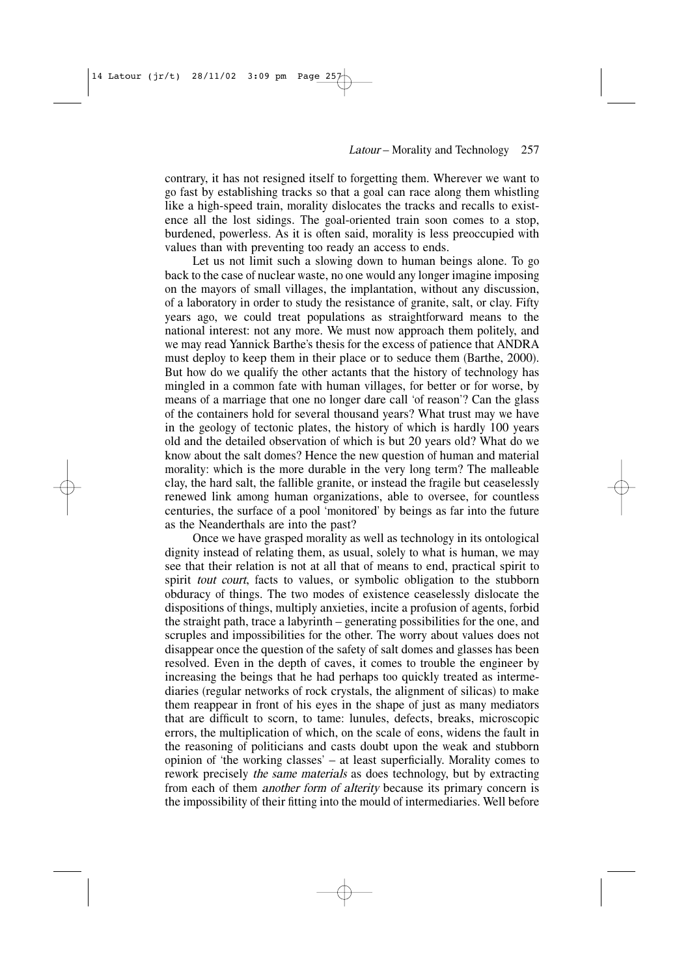contrary, it has not resigned itself to forgetting them. Wherever we want to go fast by establishing tracks so that a goal can race along them whistling like a high-speed train, morality dislocates the tracks and recalls to existence all the lost sidings. The goal-oriented train soon comes to a stop, burdened, powerless. As it is often said, morality is less preoccupied with values than with preventing too ready an access to ends.

Let us not limit such a slowing down to human beings alone. To go back to the case of nuclear waste, no one would any longer imagine imposing on the mayors of small villages, the implantation, without any discussion, of a laboratory in order to study the resistance of granite, salt, or clay. Fifty years ago, we could treat populations as straightforward means to the national interest: not any more. We must now approach them politely, and we may read Yannick Barthe's thesis for the excess of patience that ANDRA must deploy to keep them in their place or to seduce them (Barthe, 2000). But how do we qualify the other actants that the history of technology has mingled in a common fate with human villages, for better or for worse, by means of a marriage that one no longer dare call 'of reason'? Can the glass of the containers hold for several thousand years? What trust may we have in the geology of tectonic plates, the history of which is hardly 100 years old and the detailed observation of which is but 20 years old? What do we know about the salt domes? Hence the new question of human and material morality: which is the more durable in the very long term? The malleable clay, the hard salt, the fallible granite, or instead the fragile but ceaselessly renewed link among human organizations, able to oversee, for countless centuries, the surface of a pool 'monitored' by beings as far into the future as the Neanderthals are into the past?

Once we have grasped morality as well as technology in its ontological dignity instead of relating them, as usual, solely to what is human, we may see that their relation is not at all that of means to end, practical spirit to spirit *tout court*, facts to values, or symbolic obligation to the stubborn obduracy of things. The two modes of existence ceaselessly dislocate the dispositions of things, multiply anxieties, incite a profusion of agents, forbid the straight path, trace a labyrinth – generating possibilities for the one, and scruples and impossibilities for the other. The worry about values does not disappear once the question of the safety of salt domes and glasses has been resolved. Even in the depth of caves, it comes to trouble the engineer by increasing the beings that he had perhaps too quickly treated as intermediaries (regular networks of rock crystals, the alignment of silicas) to make them reappear in front of his eyes in the shape of just as many mediators that are difficult to scorn, to tame: lunules, defects, breaks, microscopic errors, the multiplication of which, on the scale of eons, widens the fault in the reasoning of politicians and casts doubt upon the weak and stubborn opinion of 'the working classes' – at least superficially. Morality comes to rework precisely th<sup>e</sup> <sup>s</sup>am<sup>e</sup> <sup>m</sup>aterial<sup>s</sup> as does technology, but by extracting from each of them <sup>a</sup>nothe<sup>r</sup> <sup>f</sup>or<sup>m</sup> <sup>o</sup><sup>f</sup> <sup>a</sup>lterit<sup>y</sup> because its primary concern is the impossibility of their fitting into the mould of intermediaries. Well before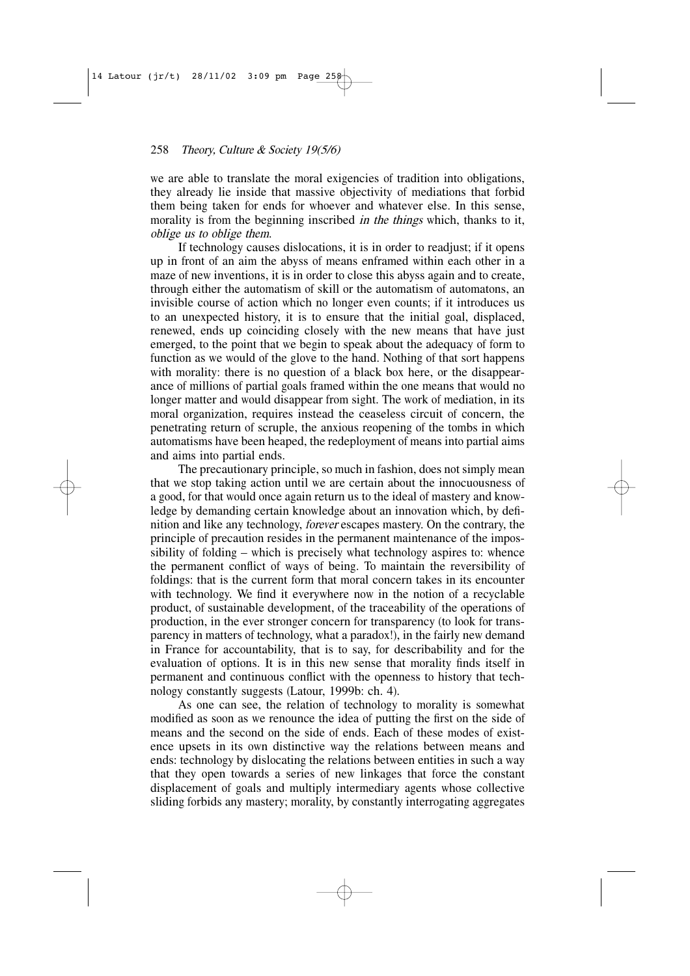we are able to translate the moral exigencies of tradition into obligations, they already lie inside that massive objectivity of mediations that forbid them being taken for ends for whoever and whatever else. In this sense, morality is from the beginning inscribed *in the things* which, thanks to it, oblig<sup>e</sup> <sup>u</sup><sup>s</sup> <sup>t</sup><sup>o</sup> oblig<sup>e</sup> them.

If technology causes dislocations, it is in order to readjust; if it opens up in front of an aim the abyss of means enframed within each other in a maze of new inventions, it is in order to close this abyss again and to create, through either the automatism of skill or the automatism of automatons, an invisible course of action which no longer even counts; if it introduces us to an unexpected history, it is to ensure that the initial goal, displaced, renewed, ends up coinciding closely with the new means that have just emerged, to the point that we begin to speak about the adequacy of form to function as we would of the glove to the hand. Nothing of that sort happens with morality: there is no question of a black box here, or the disappearance of millions of partial goals framed within the one means that would no longer matter and would disappear from sight. The work of mediation, in its moral organization, requires instead the ceaseless circuit of concern, the penetrating return of scruple, the anxious reopening of the tombs in which automatisms have been heaped, the redeployment of means into partial aims and aims into partial ends.

The precautionary principle, so much in fashion, does not simply mean that we stop taking action until we are certain about the innocuousness of a good, for that would once again return us to the ideal of mastery and knowledge by demanding certain knowledge about an innovation which, by definition and like any technology, <sup>f</sup>oreve<sup>r</sup> escapes mastery. On the contrary, the principle of precaution resides in the permanent maintenance of the impossibility of folding – which is precisely what technology aspires to: whence the permanent conflict of ways of being. To maintain the reversibility of foldings: that is the current form that moral concern takes in its encounter with technology. We find it everywhere now in the notion of a recyclable product, of sustainable development, of the traceability of the operations of production, in the ever stronger concern for transparency (to look for transparency in matters of technology, what a paradox!), in the fairly new demand in France for accountability, that is to say, for describability and for the evaluation of options. It is in this new sense that morality finds itself in permanent and continuous conflict with the openness to history that technology constantly suggests (Latour, 1999b: ch. 4).

As one can see, the relation of technology to morality is somewhat modified as soon as we renounce the idea of putting the first on the side of means and the second on the side of ends. Each of these modes of existence upsets in its own distinctive way the relations between means and ends: technology by dislocating the relations between entities in such a way that they open towards a series of new linkages that force the constant displacement of goals and multiply intermediary agents whose collective sliding forbids any mastery; morality, by constantly interrogating aggregates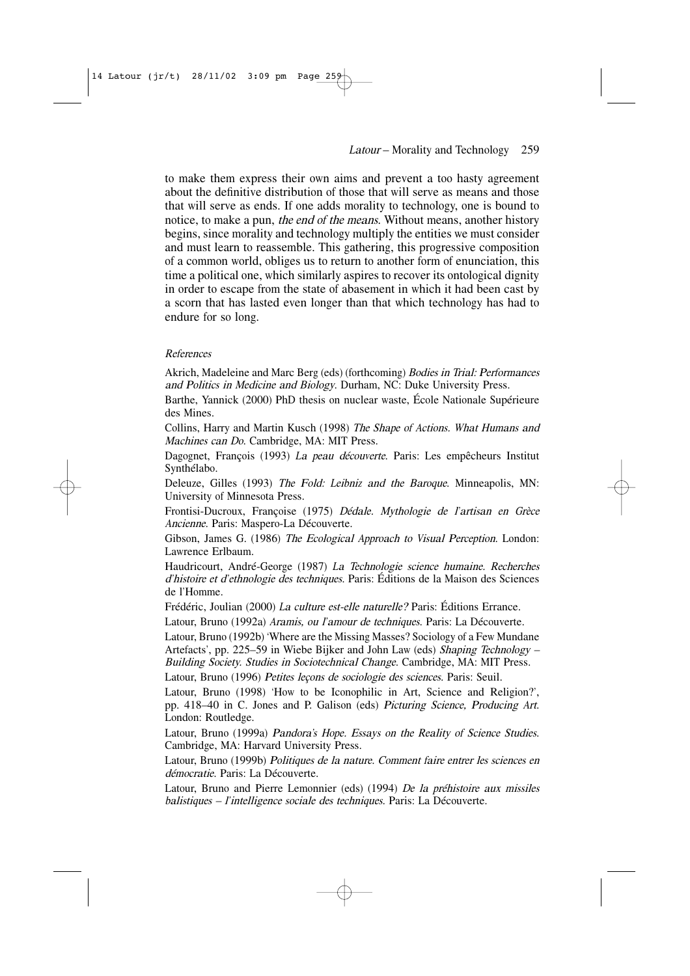to make them express their own aims and prevent a too hasty agreement about the definitive distribution of those that will serve as means and those that will serve as ends. If one adds morality to technology, one is bound to notice, to make a pun, th<sup>e</sup> <sup>e</sup>nd <sup>o</sup><sup>f</sup> th<sup>e</sup> <sup>m</sup>eans. Without means, another history begins, since morality and technology multiply the entities we must consider and must learn to reassemble. This gathering, this progressive composition of a common world, obliges us to return to another form of enunciation, this time a political one, which similarly aspires to recover its ontological dignity in order to escape from the state of abasement in which it had been cast by a scorn that has lasted even longer than that which technology has had to endure for so long.

## Reference<sup>s</sup>

Akrich, Madeleine and Marc Berg (eds) (forthcoming) Bodie<sup>s</sup> in <sup>T</sup>rial: <sup>P</sup>erformance<sup>s</sup> <sup>a</sup>nd <sup>P</sup>olitic<sup>s</sup> in <sup>M</sup>edicin<sup>e</sup> <sup>a</sup>nd <sup>B</sup>iology. Durham, NC: Duke University Press.

Barthe, Yannick (2000) PhD thesis on nuclear waste, École Nationale Supérieure des Mines.

Collins, Harry and Martin Kusch (1998) <sup>T</sup>h<sup>e</sup> <sup>S</sup>hap<sup>e</sup> <sup>o</sup><sup>f</sup> <sup>A</sup>ctions. <sup>W</sup>ha<sup>t</sup> <sup>H</sup>umans <sup>a</sup>nd <sup>M</sup>achine<sup>s</sup> <sup>c</sup>a<sup>n</sup> <sup>D</sup>o. Cambridge, MA: MIT Press.

Dagognet, François (1993) La peau découverte. Paris: Les empêcheurs Institut Synthélabo.

Deleuze, Gilles (1993) <sup>T</sup>h<sup>e</sup> <sup>F</sup>old: <sup>L</sup>eibniz <sup>a</sup>nd th<sup>e</sup> <sup>B</sup>aroqu<sup>e</sup>. Minneapolis, MN: University of Minnesota Press.

Frontisi-Ducroux, Françoise (1975) <sup>D</sup>édal<sup>e</sup>. <sup>M</sup>ythologi<sup>e</sup> <sup>d</sup><sup>e</sup> <sup>l</sup>'artisa<sup>n</sup> <sup>e</sup><sup>n</sup> <sup>G</sup>rèce <sup>A</sup>ncienne. Paris: Maspero-La Découverte.

Gibson, James G. (1986) <sup>T</sup>h<sup>e</sup> <sup>E</sup>cologica<sup>l</sup> <sup>A</sup>pproac<sup>h</sup> <sup>t</sup><sup>o</sup> <sup>V</sup>isua<sup>l</sup> <sup>P</sup>erception. London: Lawrence Erlbaum.

Haudricourt, André-George (1987) <sup>L</sup><sup>a</sup> <sup>T</sup>echnologi<sup>e</sup> <sup>s</sup>cience humain<sup>e</sup>. <sup>R</sup>echerche<sup>s</sup> <sup>d</sup>'histoir<sup>e</sup> <sup>e</sup><sup>t</sup> <sup>d</sup>'ethnologi<sup>e</sup> <sup>d</sup>e<sup>s</sup> <sup>t</sup>echniques. Paris: Éditions de la Maison des Sciences de l'Homme.

Frédéric, Joulian (2000) <sup>L</sup><sup>a</sup> <sup>c</sup>ultur<sup>e</sup> <sup>e</sup>st-ell<sup>e</sup> <sup>n</sup>aturelle? Paris: Éditions Errance.

Latour, Bruno (1992a) Aramis, ou l'amour de techniques. Paris: La Découverte.

Latour, Bruno (1992b) 'Where are the Missing Masses? Sociology of a Few Mundane Artefacts', pp. 225–59 in Wiebe Bijker and John Law (eds) <sup>S</sup>haping <sup>T</sup>echnolog<sup>y</sup> – <sup>B</sup>uilding <sup>S</sup>ociety. <sup>S</sup>tudie<sup>s</sup> in <sup>S</sup>ociotechnica<sup>l</sup> <sup>C</sup>hange. Cambridge, MA: MIT Press.

Latour, Bruno (1996) <sup>P</sup>etite<sup>s</sup> <sup>l</sup>eçons <sup>d</sup><sup>e</sup> <sup>s</sup>ociologi<sup>e</sup> <sup>d</sup>e<sup>s</sup> <sup>s</sup>ciences. Paris: Seuil.

Latour, Bruno (1998) 'How to be Iconophilic in Art, Science and Religion?', pp. 418–40 in C. Jones and P. Galison (eds) <sup>P</sup>icturing <sup>S</sup>cience, <sup>P</sup>roducing <sup>A</sup>rt. London: Routledge.

Latour, Bruno (1999a) <sup>P</sup>andora'<sup>s</sup> <sup>H</sup>op<sup>e</sup>. Ess<sup>a</sup>y<sup>s</sup> <sup>o</sup><sup>n</sup> th<sup>e</sup> <sup>R</sup>ealit<sup>y</sup> <sup>o</sup><sup>f</sup> <sup>S</sup>cience <sup>S</sup>tudies. Cambridge, MA: Harvard University Press.

Latour, Bruno (1999b) <sup>P</sup>olitique<sup>s</sup> <sup>d</sup><sup>e</sup> <sup>l</sup><sup>a</sup> <sup>n</sup>ature. Comment <sup>f</sup>air<sup>e</sup> <sup>e</sup>ntre<sup>r</sup> <sup>l</sup>e<sup>s</sup> <sup>s</sup>cience<sup>s</sup> <sup>e</sup><sup>n</sup> <sup>d</sup>émocratie. Paris: La Découverte.

Latour, Bruno and Pierre Lemonnier (eds) (1994) <sup>D</sup><sup>e</sup> <sup>l</sup><sup>a</sup> <sup>p</sup>réhistoir<sup>e</sup> <sup>a</sup>u<sup>x</sup> missile<sup>s</sup> balistiques – l'intelligence sociale des techniques. Paris: La Découverte.